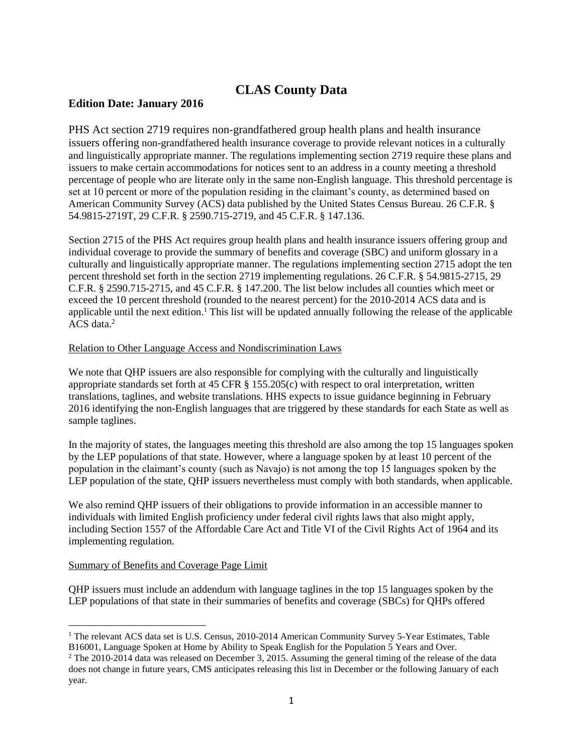## **CLAS County Data**

## **Edition Date: January 2016**

PHS Act section 2719 requires non-grandfathered group health plans and health insurance issuers offering non-grandfathered health insurance coverage to provide relevant notices in a culturally and linguistically appropriate manner. The regulations implementing section 2719 require these plans and issuers to make certain accommodations for notices sent to an address in a county meeting a threshold percentage of people who are literate only in the same non-English language. This threshold percentage is set at 10 percent or more of the population residing in the claimant's county, as determined based on American Community Survey (ACS) data published by the United States Census Bureau. 26 C.F.R. § 54.9815-2719T, 29 C.F.R. § 2590.715-2719, and 45 C.F.R. § 147.136.

Section 2715 of the PHS Act requires group health plans and health insurance issuers offering group and individual coverage to provide the summary of benefits and coverage (SBC) and uniform glossary in a culturally and linguistically appropriate manner. The regulations implementing section 2715 adopt the ten percent threshold set forth in the section 2719 implementing regulations. 26 C.F.R. § 54.9815-2715, 29 C.F.R. § 2590.715-2715, and 45 C.F.R. § 147.200. The list below includes all counties which meet or exceed the 10 percent threshold (rounded to the nearest percent) for the 2010-2014 ACS data and is applicable until the next edition.<sup>1</sup> This list will be updated annually following the release of the applicable  $ACS$  data.<sup>2</sup>

## Relation to Other Language Access and Nondiscrimination Laws

We note that OHP issuers are also responsible for complying with the culturally and linguistically appropriate standards set forth at 45 CFR § 155.205(c) with respect to oral interpretation, written translations, taglines, and website translations. HHS expects to issue guidance beginning in February 2016 identifying the non-English languages that are triggered by these standards for each State as well as sample taglines.

In the majority of states, the languages meeting this threshold are also among the top 15 languages spoken by the LEP populations of that state. However, where a language spoken by at least 10 percent of the population in the claimant's county (such as Navajo) is not among the top 15 languages spoken by the LEP population of the state, QHP issuers nevertheless must comply with both standards, when applicable.

We also remind QHP issuers of their obligations to provide information in an accessible manner to individuals with limited English proficiency under federal civil rights laws that also might apply, including Section 1557 of the Affordable Care Act and Title VI of the Civil Rights Act of 1964 and its implementing regulation.

## Summary of Benefits and Coverage Page Limit

QHP issuers must include an addendum with language taglines in the top 15 languages spoken by the LEP populations of that state in their summaries of benefits and coverage (SBCs) for QHPs offered

<sup>&</sup>lt;sup>1</sup> The relevant ACS data set is U.S. Census, 2010-2014 American Community Survey 5-Year Estimates, Table B16001, Language Spoken at Home by Ability to Speak English for the Population 5 Years and Over.

<sup>&</sup>lt;sup>2</sup> The 2010-2014 data was released on December 3, 2015. Assuming the general timing of the release of the data does not change in future years, CMS anticipates releasing this list in December or the following January of each year.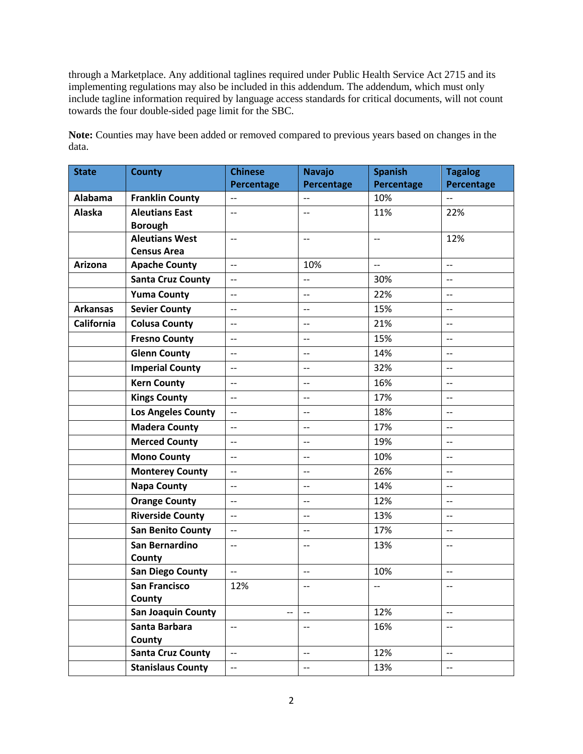through a Marketplace. Any additional taglines required under Public Health Service Act 2715 and its implementing regulations may also be included in this addendum. The addendum, which must only include tagline information required by language access standards for critical documents, will not count towards the four double-sided page limit for the SBC.

| <b>State</b>      | <b>County</b>             | <b>Chinese</b>                                      | <b>Navajo</b>            | <b>Spanish</b> | <b>Tagalog</b>           |
|-------------------|---------------------------|-----------------------------------------------------|--------------------------|----------------|--------------------------|
|                   |                           | Percentage                                          | Percentage               | Percentage     | Percentage               |
| Alabama           | <b>Franklin County</b>    | $\overline{\phantom{a}}$                            |                          | 10%            |                          |
| <b>Alaska</b>     | <b>Aleutians East</b>     | $\overline{\phantom{a}}$                            | $-$                      | 11%            | 22%                      |
|                   | <b>Borough</b>            |                                                     |                          |                |                          |
|                   | <b>Aleutians West</b>     | $\overline{\phantom{m}}$                            | $-$                      | $ \!-$         | 12%                      |
|                   | <b>Census Area</b>        |                                                     |                          |                |                          |
| Arizona           | <b>Apache County</b>      | $\overline{\phantom{a}}$                            | 10%                      | $\overline{a}$ | $\overline{a}$           |
|                   | <b>Santa Cruz County</b>  | $\overline{\phantom{a}}$                            | $\overline{\phantom{a}}$ | 30%            | $-$                      |
|                   | <b>Yuma County</b>        | $-$                                                 | $-$                      | 22%            | $\overline{\phantom{a}}$ |
| <b>Arkansas</b>   | <b>Sevier County</b>      | $-$                                                 | --                       | 15%            | $-$                      |
| <b>California</b> | <b>Colusa County</b>      | $\overline{\phantom{a}}$                            | $-$                      | 21%            | $-$                      |
|                   | <b>Fresno County</b>      | $\overline{\phantom{a}}$                            | $-$                      | 15%            | $-$                      |
|                   | <b>Glenn County</b>       | $\overline{\phantom{a}}$                            | $-$                      | 14%            | $-$                      |
|                   | <b>Imperial County</b>    | $\overline{\phantom{a}}$                            | $-$                      | 32%            | $-$                      |
|                   | <b>Kern County</b>        | $\overline{\phantom{a}}$                            | $-$                      | 16%            | $-$                      |
|                   | <b>Kings County</b>       | $\overline{\phantom{a}}$                            | $-$                      | 17%            | $-$                      |
|                   | <b>Los Angeles County</b> | $-$                                                 | --                       | 18%            | $-$                      |
|                   | <b>Madera County</b>      | $-$                                                 | $-$                      | 17%            | $\overline{\phantom{m}}$ |
|                   | <b>Merced County</b>      | $\overline{\phantom{a}}$                            | $-$                      | 19%            | $-$                      |
|                   | <b>Mono County</b>        | $\overline{\phantom{a}}$                            | $-$                      | 10%            | $-$                      |
|                   | <b>Monterey County</b>    | $\overline{\phantom{m}}$                            | $-$                      | 26%            | $-$                      |
|                   | <b>Napa County</b>        | $-$                                                 | $-$                      | 14%            | $-$                      |
|                   | <b>Orange County</b>      | $\overline{\phantom{a}}$                            | $-$                      | 12%            | $-$                      |
|                   | <b>Riverside County</b>   | $-$                                                 | $-$                      | 13%            | --                       |
|                   | <b>San Benito County</b>  | $-$                                                 | $-$                      | 17%            | $\overline{\phantom{a}}$ |
|                   | San Bernardino            | $\overline{\phantom{a}}$                            | $-$                      | 13%            | $-$                      |
|                   | County                    |                                                     |                          |                |                          |
|                   | <b>San Diego County</b>   | $\overline{\phantom{0}}$                            | $\overline{\phantom{a}}$ | 10%            | $-$                      |
|                   | <b>San Francisco</b>      | 12%                                                 | $-$                      | $-$            | $-$                      |
|                   | County                    |                                                     |                          |                |                          |
|                   | <b>San Joaquin County</b> |                                                     | $\overline{a}$           | 12%            | $-$                      |
|                   | Santa Barbara             | $\overline{\phantom{a}}$                            | $- -$                    | 16%            | $\overline{\phantom{m}}$ |
|                   | County                    |                                                     |                          |                |                          |
|                   | <b>Santa Cruz County</b>  | $\overline{\phantom{m}}$                            | $\overline{\phantom{a}}$ | 12%            | $\qquad \qquad -$        |
|                   | <b>Stanislaus County</b>  | $\hspace{0.05cm} -\hspace{0.05cm} -\hspace{0.05cm}$ | $-$                      | 13%            | --                       |

**Note:** Counties may have been added or removed compared to previous years based on changes in the data.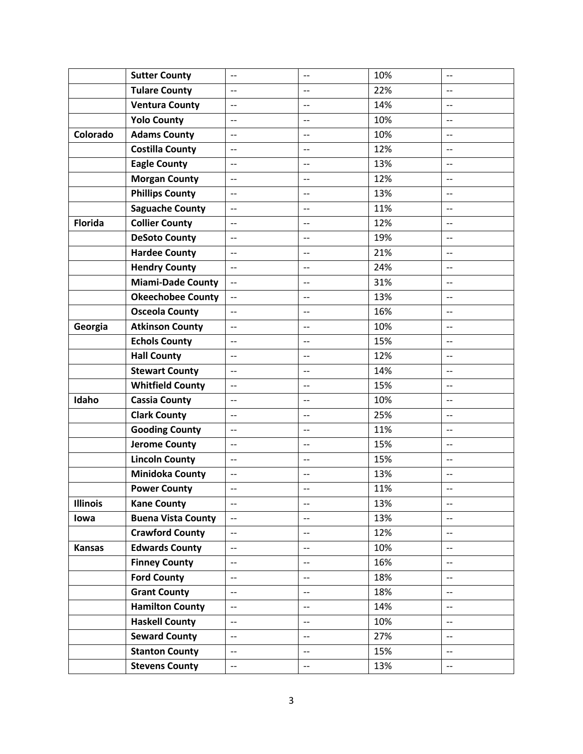|                 | <b>Sutter County</b>      | $-$                      | $-$                      | 10% | $-$                      |
|-----------------|---------------------------|--------------------------|--------------------------|-----|--------------------------|
|                 | <b>Tulare County</b>      | $\overline{\phantom{a}}$ | $-$                      | 22% | $\overline{a}$           |
|                 | <b>Ventura County</b>     | $\overline{\phantom{m}}$ | $-$                      | 14% | $-$                      |
|                 | <b>Yolo County</b>        | $\overline{\phantom{a}}$ | $-$                      | 10% | $-$                      |
| Colorado        | <b>Adams County</b>       | $\overline{\phantom{a}}$ | $\overline{\phantom{a}}$ | 10% | $\overline{\phantom{a}}$ |
|                 | <b>Costilla County</b>    | $-$                      | $\overline{\phantom{m}}$ | 12% | $\overline{\phantom{a}}$ |
|                 | <b>Eagle County</b>       | $-$                      |                          | 13% |                          |
|                 | <b>Morgan County</b>      | $\overline{\phantom{a}}$ | $\qquad \qquad -$        | 12% | $-$                      |
|                 | <b>Phillips County</b>    | $\overline{\phantom{a}}$ | $\qquad \qquad -$        | 13% | $-$                      |
|                 | <b>Saguache County</b>    | $-$                      | $-$                      | 11% | $-$                      |
| <b>Florida</b>  | <b>Collier County</b>     | $\qquad \qquad -$        | $\overline{\phantom{a}}$ | 12% | $\overline{\phantom{a}}$ |
|                 | <b>DeSoto County</b>      | $\overline{\phantom{a}}$ | $\qquad \qquad -$        | 19% | $\qquad \qquad -$        |
|                 | <b>Hardee County</b>      | $\overline{\phantom{a}}$ | $-$                      | 21% | $-$                      |
|                 | <b>Hendry County</b>      |                          | $-$                      | 24% | $-$                      |
|                 | <b>Miami-Dade County</b>  | $\overline{\phantom{a}}$ | $-$                      | 31% | $\overline{\phantom{m}}$ |
|                 | <b>Okeechobee County</b>  | $\overline{\phantom{a}}$ | $-$                      | 13% | $-$                      |
|                 | <b>Osceola County</b>     | $\overline{\phantom{a}}$ | $-$                      | 16% | $-$                      |
| Georgia         | <b>Atkinson County</b>    | $\overline{\phantom{a}}$ | $\qquad \qquad -$        | 10% | $\qquad \qquad -$        |
|                 | <b>Echols County</b>      | $\overline{\phantom{a}}$ | $-$                      | 15% | $-$                      |
|                 | <b>Hall County</b>        | $\overline{\phantom{a}}$ | $-$                      | 12% | $\qquad \qquad -$        |
|                 | <b>Stewart County</b>     | $-$                      | $-$                      | 14% | --                       |
|                 | <b>Whitfield County</b>   | $\overline{\phantom{a}}$ | $\overline{a}$           | 15% | $\overline{\phantom{a}}$ |
| Idaho           | <b>Cassia County</b>      | $\overline{\phantom{a}}$ | $\overline{\phantom{a}}$ | 10% | $\overline{\phantom{a}}$ |
|                 | <b>Clark County</b>       | $-$                      | $-$                      | 25% | $\overline{\phantom{a}}$ |
|                 | <b>Gooding County</b>     | $-$                      | $-$                      | 11% | $-$                      |
|                 | <b>Jerome County</b>      | $-$                      | $-$                      | 15% | $\overline{\phantom{a}}$ |
|                 | <b>Lincoln County</b>     | $\overline{\phantom{m}}$ | $-$                      | 15% | $\overline{\phantom{m}}$ |
|                 | <b>Minidoka County</b>    | $-$                      | $-$                      | 13% | $\overline{\phantom{a}}$ |
|                 | <b>Power County</b>       | $\overline{\phantom{m}}$ | $-$                      | 11% | $\overline{\phantom{a}}$ |
| <b>Illinois</b> | <b>Kane County</b>        | $\overline{\phantom{a}}$ | $\overline{\phantom{m}}$ | 13% | $\overline{\phantom{a}}$ |
| lowa            | <b>Buena Vista County</b> | $\overline{a}$           | $\overline{a}$           | 13% | $\overline{a}$           |
|                 | <b>Crawford County</b>    | $\overline{\phantom{a}}$ | $\overline{\phantom{m}}$ | 12% | $-$                      |
| <b>Kansas</b>   | <b>Edwards County</b>     | $\overline{\phantom{m}}$ | $\overline{\phantom{m}}$ | 10% | $-$                      |
|                 | <b>Finney County</b>      | $\overline{\phantom{m}}$ | $-$                      | 16% | $-$                      |
|                 | <b>Ford County</b>        | $\overline{\phantom{m}}$ | $\overline{\phantom{a}}$ | 18% | $- -$                    |
|                 | <b>Grant County</b>       | $-$                      | $\overline{\phantom{a}}$ | 18% | $-$                      |
|                 | <b>Hamilton County</b>    | $\overline{\phantom{m}}$ | $\overline{\phantom{a}}$ | 14% | $-$                      |
|                 | <b>Haskell County</b>     | $\overline{\phantom{a}}$ | $\overline{\phantom{0}}$ | 10% | $-$                      |
|                 | <b>Seward County</b>      | $\overline{\phantom{m}}$ | $\overline{\phantom{m}}$ | 27% | $\overline{\phantom{a}}$ |
|                 | <b>Stanton County</b>     | $\overline{\phantom{a}}$ | $\overline{\phantom{a}}$ | 15% | $\overline{a}$           |
|                 | <b>Stevens County</b>     | $\overline{\phantom{a}}$ | $\overline{\phantom{m}}$ | 13% | $-$                      |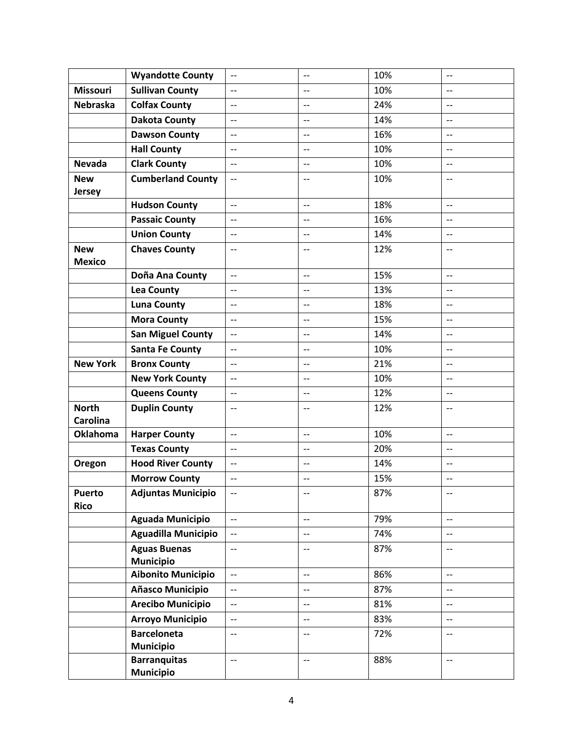|                                 | <b>Wyandotte County</b>                 | $\overline{\phantom{a}}$                            | $-$                      | 10% | $-$                                 |
|---------------------------------|-----------------------------------------|-----------------------------------------------------|--------------------------|-----|-------------------------------------|
| <b>Missouri</b>                 | <b>Sullivan County</b>                  | $\overline{\phantom{a}}$                            | $\overline{a}$           | 10% | $\overline{a}$                      |
| <b>Nebraska</b>                 | <b>Colfax County</b>                    | $\overline{\phantom{m}}$                            | $\overline{\phantom{m}}$ | 24% | $\overline{\phantom{a}}$            |
|                                 | <b>Dakota County</b>                    | $\overline{\phantom{a}}$                            | $-$                      | 14% | $-$                                 |
|                                 | <b>Dawson County</b>                    | $\overline{\phantom{a}}$                            | $\overline{\phantom{a}}$ | 16% | $\overline{\phantom{a}}$            |
|                                 | <b>Hall County</b>                      | $\overline{\phantom{a}}$                            | $\overline{\phantom{a}}$ | 10% | $\overline{\phantom{a}}$            |
| <b>Nevada</b>                   | <b>Clark County</b>                     | $-$                                                 | $-$                      | 10% |                                     |
| <b>New</b><br><b>Jersey</b>     | <b>Cumberland County</b>                | $-$                                                 | $-$                      | 10% | $\qquad \qquad -$                   |
|                                 | <b>Hudson County</b>                    | $\overline{\phantom{a}}$                            | $\qquad \qquad -$        | 18% | $\overline{\phantom{a}}$            |
|                                 | <b>Passaic County</b>                   | $\overline{\phantom{a}}$                            | $\qquad \qquad -$        | 16% | $\qquad \qquad -$                   |
|                                 | <b>Union County</b>                     | $\overline{\phantom{a}}$                            | $\overline{a}$           | 14% | $\overline{\phantom{a}}$            |
| <b>New</b><br><b>Mexico</b>     | <b>Chaves County</b>                    | $\overline{\phantom{a}}$                            | $\overline{\phantom{a}}$ | 12% | $- -$                               |
|                                 | Doña Ana County                         | $\overline{\phantom{a}}$                            | $\overline{\phantom{a}}$ | 15% | $\overline{\phantom{a}}$            |
|                                 | <b>Lea County</b>                       | $\overline{\phantom{a}}$                            | $-$                      | 13% | $\overline{a}$                      |
|                                 | <b>Luna County</b>                      | $\overline{\phantom{a}}$                            | $-$                      | 18% | $\overline{\phantom{m}}$            |
|                                 | <b>Mora County</b>                      | $\overline{\phantom{a}}$                            | $\qquad \qquad -$        | 15% | $\qquad \qquad -$                   |
|                                 | <b>San Miguel County</b>                | $\overline{\phantom{a}}$                            | $\overline{a}$           | 14% | $-$                                 |
|                                 | <b>Santa Fe County</b>                  | $\overline{\phantom{m}}$                            | $\overline{\phantom{a}}$ | 10% | $\qquad \qquad -$                   |
| <b>New York</b>                 | <b>Bronx County</b>                     | $\overline{\phantom{a}}$                            | $\qquad \qquad -$        | 21% | $\qquad \qquad -$                   |
|                                 | <b>New York County</b>                  | $\overline{\phantom{a}}$                            | $\qquad \qquad -$        | 10% | $\qquad \qquad -$                   |
|                                 | <b>Queens County</b>                    | $\overline{\phantom{a}}$                            | $-$                      | 12% | $-$                                 |
| <b>North</b><br><b>Carolina</b> | <b>Duplin County</b>                    | $\overline{\phantom{m}}$                            | $\overline{\phantom{m}}$ | 12% | --                                  |
| <b>Oklahoma</b>                 | <b>Harper County</b>                    | $\overline{\phantom{a}}$                            | $\overline{\phantom{a}}$ | 10% | $\overline{\phantom{a}}$            |
|                                 | <b>Texas County</b>                     | $\overline{\phantom{a}}$                            | $\overline{\phantom{a}}$ | 20% | $\overline{\phantom{a}}$            |
| Oregon                          | <b>Hood River County</b>                | $-$                                                 | $\overline{\phantom{m}}$ | 14% | $\overline{\phantom{a}}$            |
|                                 | <b>Morrow County</b>                    | $\overline{\phantom{a}}$                            | $\overline{a}$           | 15% | $-$                                 |
| <b>Puerto</b><br><b>Rico</b>    | <b>Adjuntas Municipio</b>               | $--$                                                | $\overline{\phantom{m}}$ | 87% | --                                  |
|                                 | <b>Aguada Municipio</b>                 | $\overline{\phantom{m}}$                            | $\overline{\phantom{a}}$ | 79% | $-$                                 |
|                                 | <b>Aguadilla Municipio</b>              | $\overline{\phantom{a}}$                            | $-$                      | 74% | $-$                                 |
|                                 | <b>Aguas Buenas</b><br><b>Municipio</b> | $\overline{\phantom{m}}$                            | $-$                      | 87% | $-$                                 |
|                                 | <b>Aibonito Municipio</b>               | $\overline{\phantom{m}}$                            | $\overline{\phantom{m}}$ | 86% | $-$                                 |
|                                 | Añasco Municipio                        | $\overline{\phantom{m}}$                            | $\overline{\phantom{m}}$ | 87% | $\overline{\phantom{a}}$            |
|                                 | <b>Arecibo Municipio</b>                | $\overline{\phantom{0}}$                            | $\overline{a}$           | 81% | $\overline{a}$                      |
|                                 | <b>Arroyo Municipio</b>                 | $\hspace{0.05cm} -\hspace{0.05cm} -\hspace{0.05cm}$ | $\overline{\phantom{a}}$ | 83% | $\hspace{0.05cm}$ $\hspace{0.05cm}$ |
|                                 | <b>Barceloneta</b><br><b>Municipio</b>  | $-$                                                 | $-$                      | 72% | $\overline{\phantom{m}}$            |
|                                 | <b>Barranquitas</b><br><b>Municipio</b> | $\overline{\phantom{a}}$                            | $\overline{\phantom{a}}$ | 88% | $-$                                 |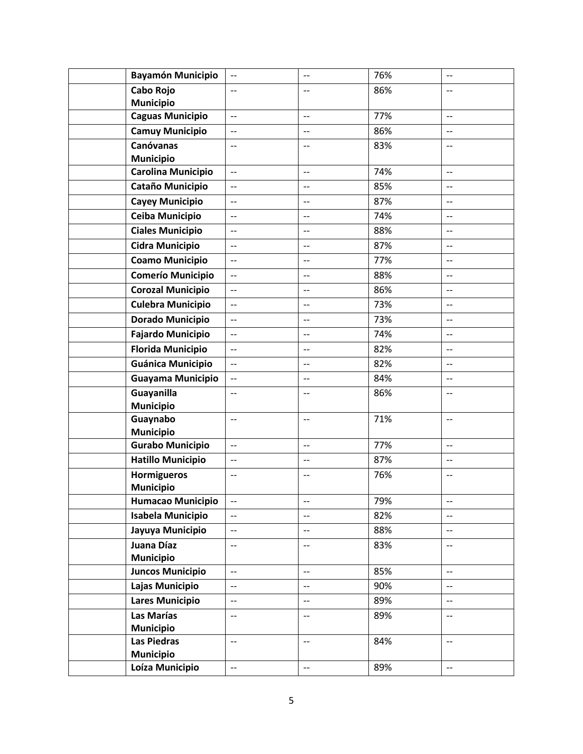| <b>Bayamón Municipio</b>                     | $\overline{\phantom{m}}$                             | $\qquad \qquad -$        | 76% | $\overline{\phantom{a}}$                             |
|----------------------------------------------|------------------------------------------------------|--------------------------|-----|------------------------------------------------------|
| Cabo Rojo                                    | $-$                                                  | $-$                      | 86% | $-$                                                  |
| <b>Municipio</b>                             |                                                      |                          |     |                                                      |
| <b>Caguas Municipio</b>                      | $\overline{\phantom{a}}$                             | $\overline{\phantom{a}}$ | 77% | $-$                                                  |
| <b>Camuy Municipio</b>                       | $\overline{\phantom{a}}$                             | $-$                      | 86% | $-$                                                  |
| <b>Canóvanas</b>                             | $\overline{\phantom{m}}$                             | $\overline{\phantom{m}}$ | 83% | $\overline{\phantom{m}}$                             |
| <b>Municipio</b>                             |                                                      |                          |     |                                                      |
| Carolina Municipio                           | $\overline{\phantom{a}}$                             | $\overline{\phantom{a}}$ | 74% | $\overline{\phantom{a}}$                             |
| Cataño Municipio                             | $\overline{\phantom{a}}$                             | $\overline{a}$           | 85% | $\overline{\phantom{a}}$                             |
| <b>Cayey Municipio</b>                       | $\overline{\phantom{m}}$                             | $-$                      | 87% | $-$                                                  |
| Ceiba Municipio                              | $\overline{a}$                                       | $-$                      | 74% | $-$                                                  |
| <b>Ciales Municipio</b>                      | $\overline{\phantom{a}}$                             | $-$                      | 88% | $\qquad \qquad -$                                    |
| <b>Cidra Municipio</b>                       | $\overline{\phantom{a}}$                             | $-$                      | 87% | $-$                                                  |
| <b>Coamo Municipio</b>                       | $-$                                                  | $-$                      | 77% | $-$                                                  |
| <b>Comerío Municipio</b>                     | $\overline{\phantom{a}}$                             | $\overline{\phantom{a}}$ | 88% | $\qquad \qquad -$                                    |
| <b>Corozal Municipio</b>                     | $\overline{\phantom{a}}$                             | $-$                      | 86% | $\overline{\phantom{a}}$                             |
| <b>Culebra Municipio</b>                     | $-$                                                  | $\overline{\phantom{m}}$ | 73% | --                                                   |
| <b>Dorado Municipio</b>                      | $-$                                                  | $-$                      | 73% | $-$                                                  |
| <b>Fajardo Municipio</b>                     | $\overline{\phantom{a}}$                             | $-$                      | 74% | $-$                                                  |
| <b>Florida Municipio</b>                     | $\overline{\phantom{a}}$                             | $-$                      | 82% | $\overline{\phantom{a}}$                             |
| <b>Guánica Municipio</b>                     | $\overline{\phantom{a}}$                             | $\overline{\phantom{a}}$ | 82% | $\overline{\phantom{a}}$                             |
| Guayama Municipio                            | $\overline{\phantom{a}}$                             | $\overline{\phantom{m}}$ | 84% | $\overline{\phantom{a}}$                             |
| Guayanilla                                   | $-$                                                  | $-$                      | 86% | $-$                                                  |
| <b>Municipio</b>                             |                                                      |                          |     |                                                      |
| Guaynabo                                     | $\overline{\phantom{a}}$                             | $ \!-$                   | 71% | $\overline{\phantom{m}}$                             |
| <b>Municipio</b>                             |                                                      |                          |     |                                                      |
| <b>Gurabo Municipio</b>                      | $\overline{\phantom{a}}$                             | $\overline{\phantom{a}}$ | 77% | $\qquad \qquad -$                                    |
| <b>Hatillo Municipio</b>                     | $\overline{\phantom{m}}$                             | $\overline{\phantom{m}}$ | 87% | $\overline{\phantom{m}}$                             |
| <b>Hormigueros</b>                           | $\overline{\phantom{a}}$                             | $-$                      | 76% | $-$                                                  |
| <b>Municipio</b><br><b>Humacao Municipio</b> | $\overline{\phantom{m}}$                             | $\overline{\phantom{a}}$ | 79% | $\qquad \qquad -$                                    |
| <b>Isabela Municipio</b>                     |                                                      |                          | 82% |                                                      |
|                                              | $\overline{\phantom{a}}$<br>$\overline{\phantom{a}}$ | $\overline{\phantom{m}}$ |     | $\overline{\phantom{a}}$<br>$\overline{\phantom{a}}$ |
| Jayuya Municipio                             |                                                      | $-$                      | 88% |                                                      |
| Juana Díaz<br><b>Municipio</b>               | $\hspace{0.05cm}$ $\hspace{0.05cm}$                  | $-\hbox{--}$             | 83% | $\hspace{0.05cm}$ – $\hspace{0.05cm}$                |
| <b>Juncos Municipio</b>                      | $\overline{\phantom{a}}$                             | $-$                      | 85% | $-$                                                  |
| Lajas Municipio                              | $\overline{\phantom{a}}$                             | $-$                      | 90% | $-$                                                  |
| <b>Lares Municipio</b>                       | $\overline{\phantom{m}}$                             | $\overline{\phantom{a}}$ | 89% | $- -$                                                |
| Las Marías                                   | $\overline{\phantom{m}}$                             | $-$                      | 89% | $-$                                                  |
| <b>Municipio</b>                             |                                                      |                          |     |                                                      |
| Las Piedras                                  | $\overline{\phantom{m}}$                             | $\overline{\phantom{m}}$ | 84% | $\overline{\phantom{a}}$                             |
| <b>Municipio</b>                             |                                                      |                          |     |                                                      |
| Loíza Municipio                              | $\overline{\phantom{a}}$                             | $\overline{\phantom{a}}$ | 89% | $\overline{\phantom{a}}$                             |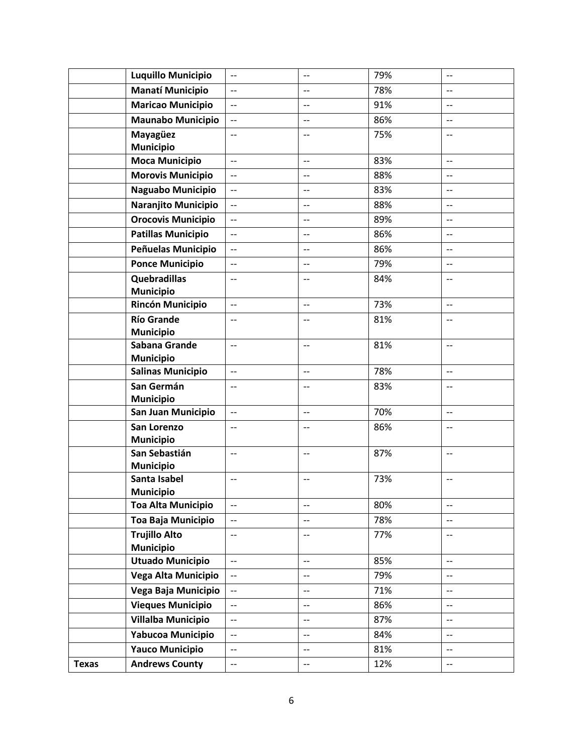|              | <b>Luquillo Municipio</b>                | $\overline{\phantom{a}}$ | $-$                      | 79% | $\overline{\phantom{m}}$ |
|--------------|------------------------------------------|--------------------------|--------------------------|-----|--------------------------|
|              | <b>Manatí Municipio</b>                  | $\overline{\phantom{0}}$ |                          | 78% |                          |
|              | <b>Maricao Municipio</b>                 | $\overline{\phantom{a}}$ | $-$                      | 91% | $\overline{\phantom{m}}$ |
|              | <b>Maunabo Municipio</b>                 | $\qquad \qquad -$        | $-$                      | 86% | --                       |
|              | Mayagüez<br><b>Municipio</b>             | $\overline{\phantom{a}}$ | $\qquad \qquad -$        | 75% | $-$                      |
|              | <b>Moca Municipio</b>                    | $\overline{\phantom{a}}$ | $\overline{\phantom{a}}$ | 83% | $\overline{\phantom{a}}$ |
|              | <b>Morovis Municipio</b>                 | $\overline{\phantom{a}}$ | $\overline{\phantom{a}}$ | 88% | $\overline{\phantom{a}}$ |
|              | Naguabo Municipio                        | $-$                      | $-$                      | 83% | $-$                      |
|              | Naranjito Municipio                      |                          | $\overline{a}$           | 88% | $-$                      |
|              | <b>Orocovis Municipio</b>                | $\overline{\phantom{m}}$ | $-$                      | 89% | $-$                      |
|              | <b>Patillas Municipio</b>                | $\overline{\phantom{a}}$ | $-$                      | 86% | $-$                      |
|              | Peñuelas Municipio                       | $\overline{\phantom{0}}$ | $\overline{\phantom{a}}$ | 86% | $\overline{\phantom{a}}$ |
|              | <b>Ponce Municipio</b>                   | $\overline{\phantom{a}}$ | $-$                      | 79% | $\overline{\phantom{a}}$ |
|              | Quebradillas<br><b>Municipio</b>         | $\overline{\phantom{a}}$ |                          | 84% |                          |
|              | <b>Rincón Municipio</b>                  | $\overline{a}$           | $-$                      | 73% | $-$                      |
|              | <b>Río Grande</b><br><b>Municipio</b>    | $\qquad \qquad -$        | $-$                      | 81% | $-$                      |
|              | Sabana Grande<br><b>Municipio</b>        | $\overline{\phantom{a}}$ | $\overline{\phantom{m}}$ | 81% | $\overline{\phantom{m}}$ |
|              | <b>Salinas Municipio</b>                 | $\overline{\phantom{0}}$ | $-$                      | 78% | $\overline{\phantom{a}}$ |
|              | San Germán<br><b>Municipio</b>           | $\overline{\phantom{a}}$ | $\qquad \qquad -$        | 83% | $\qquad \qquad -$        |
|              | San Juan Municipio                       | $\overline{\phantom{a}}$ | $\overline{\phantom{a}}$ | 70% | $\overline{\phantom{a}}$ |
|              | San Lorenzo<br><b>Municipio</b>          | $\overline{\phantom{a}}$ |                          | 86% |                          |
|              | San Sebastián<br><b>Municipio</b>        | $\overline{\phantom{a}}$ | $\overline{\phantom{m}}$ | 87% | $\overline{\phantom{m}}$ |
|              | Santa Isabel<br><b>Municipio</b>         | $-$                      | $-$                      | 73% | $\overline{\phantom{a}}$ |
|              | <b>Toa Alta Municipio</b>                | $\overline{\phantom{m}}$ | $- -$                    | 80% | $-\hbox{--}$             |
|              | Toa Baja Municipio                       | $-$                      | $-$                      | 78% | $-$                      |
|              | <b>Trujillo Alto</b><br><b>Municipio</b> | $-$                      | $-$                      | 77% | $-$                      |
|              | <b>Utuado Municipio</b>                  | $\overline{\phantom{a}}$ | $-$                      | 85% | $-$                      |
|              | Vega Alta Municipio                      | $\overline{\phantom{0}}$ | $-$                      | 79% | $-$                      |
|              | Vega Baja Municipio                      | $\overline{\phantom{a}}$ | $\overline{\phantom{m}}$ | 71% | $\overline{\phantom{m}}$ |
|              | <b>Vieques Municipio</b>                 | $-$                      | $-$                      | 86% | --                       |
|              | <b>Villalba Municipio</b>                | $-$                      | $-$                      | 87% | --                       |
|              | Yabucoa Municipio                        | $-$                      | $-$                      | 84% | $-$                      |
|              | <b>Yauco Municipio</b>                   | $\overline{\phantom{m}}$ | $-$                      | 81% | $-$                      |
| <b>Texas</b> | <b>Andrews County</b>                    | $\overline{\phantom{a}}$ | $\overline{\phantom{m}}$ | 12% | $\overline{\phantom{m}}$ |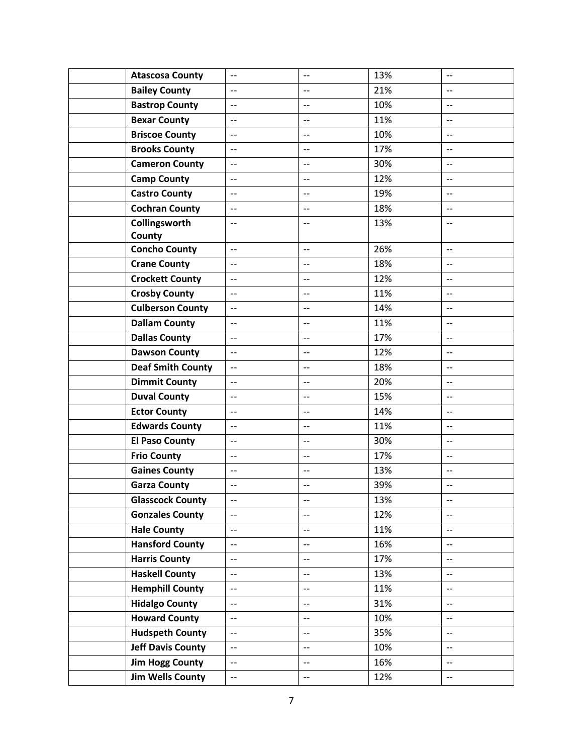| <b>Atascosa County</b>   | $\overline{\phantom{a}}$ | $\overline{\phantom{m}}$ | 13% | $\overline{\phantom{m}}$ |
|--------------------------|--------------------------|--------------------------|-----|--------------------------|
| <b>Bailey County</b>     |                          |                          | 21% |                          |
| <b>Bastrop County</b>    | $\overline{\phantom{a}}$ | $-$                      | 10% | $\overline{\phantom{m}}$ |
| <b>Bexar County</b>      | $\overline{\phantom{a}}$ | $\qquad \qquad -$        | 11% | $-$                      |
| <b>Briscoe County</b>    | $\overline{\phantom{a}}$ | $\overline{\phantom{a}}$ | 10% | $\overline{\phantom{a}}$ |
| <b>Brooks County</b>     | $\overline{\phantom{a}}$ | $\qquad \qquad -$        | 17% | $\qquad \qquad -$        |
| <b>Cameron County</b>    | $\overline{\phantom{0}}$ | $\overline{a}$           | 30% | $\overline{\phantom{a}}$ |
| <b>Camp County</b>       | $\overline{\phantom{0}}$ | $-$                      | 12% | $-$                      |
| <b>Castro County</b>     | $\overline{\phantom{a}}$ | $-$                      | 19% | $-$                      |
| <b>Cochran County</b>    | $\overline{\phantom{a}}$ | $-$                      | 18% | $-$                      |
| Collingsworth            | $\overline{\phantom{a}}$ | $-$                      | 13% | $\overline{\phantom{a}}$ |
| County                   |                          |                          |     |                          |
| <b>Concho County</b>     | $\overline{\phantom{a}}$ | $\overline{\phantom{a}}$ | 26% | $\overline{\phantom{a}}$ |
| <b>Crane County</b>      | $\overline{\phantom{m}}$ | $-$                      | 18% | $-$                      |
| <b>Crockett County</b>   |                          |                          | 12% |                          |
| <b>Crosby County</b>     | $\overline{\phantom{a}}$ | $\overline{\phantom{a}}$ | 11% | $\qquad \qquad -$        |
| <b>Culberson County</b>  | $-$                      | $\qquad \qquad -$        | 14% | --                       |
| <b>Dallam County</b>     | $\overline{\phantom{a}}$ | $\qquad \qquad -$        | 11% | $\overline{\phantom{a}}$ |
| <b>Dallas County</b>     | $\overline{\phantom{a}}$ | $\overline{\phantom{a}}$ | 17% | $\overline{\phantom{a}}$ |
| <b>Dawson County</b>     | $\overline{\phantom{a}}$ | $\qquad \qquad -$        | 12% | $\qquad \qquad -$        |
| <b>Deaf Smith County</b> | $\overline{\phantom{a}}$ | $-$                      | 18% | $\overline{\phantom{a}}$ |
| <b>Dimmit County</b>     | $\overline{\phantom{0}}$ | $\overline{a}$           | 20% | $-$                      |
| <b>Duval County</b>      | $\overline{\phantom{a}}$ | $-$                      | 15% | $\overline{\phantom{m}}$ |
| <b>Ector County</b>      | $\overline{\phantom{a}}$ | $\overline{\phantom{a}}$ | 14% | $\overline{\phantom{a}}$ |
| <b>Edwards County</b>    | $\overline{\phantom{a}}$ | $\overline{a}$           | 11% | $\overline{\phantom{a}}$ |
| <b>El Paso County</b>    | $\overline{\phantom{a}}$ | $-$                      | 30% | $-$                      |
| <b>Frio County</b>       | $\overline{\phantom{0}}$ | $-$                      | 17% | $-$                      |
| <b>Gaines County</b>     | $\overline{\phantom{a}}$ | $-$                      | 13% | $-$                      |
| <b>Garza County</b>      | $\overline{\phantom{m}}$ | $\overline{\phantom{m}}$ | 39% | --                       |
| <b>Glasscock County</b>  | $\overline{\phantom{m}}$ | $-$                      | 13% | $-$                      |
| <b>Gonzales County</b>   | $\qquad \qquad -$        | $\overline{\phantom{a}}$ | 12% | $\qquad \qquad -$        |
| <b>Hale County</b>       | $\overline{\phantom{a}}$ | $-$                      | 11% | $-$                      |
| <b>Hansford County</b>   | $\overline{\phantom{a}}$ | $-$                      | 16% | $-$                      |
| <b>Harris County</b>     | $-$                      | $\overline{\phantom{0}}$ | 17% | $-$                      |
| <b>Haskell County</b>    | $\overline{\phantom{a}}$ | $\overline{\phantom{a}}$ | 13% | $\overline{\phantom{a}}$ |
| <b>Hemphill County</b>   | $\overline{\phantom{a}}$ | $-$                      | 11% | $-$                      |
| <b>Hidalgo County</b>    | $\overline{\phantom{m}}$ | $\overline{\phantom{a}}$ | 31% | $\overline{\phantom{a}}$ |
| <b>Howard County</b>     | $\overline{\phantom{a}}$ | $\overline{\phantom{m}}$ | 10% | $\overline{\phantom{a}}$ |
| <b>Hudspeth County</b>   | $\overline{\phantom{0}}$ | $-$                      | 35% | $-$                      |
| <b>Jeff Davis County</b> | $\overline{\phantom{a}}$ | $\overline{\phantom{a}}$ | 10% | $\overline{\phantom{m}}$ |
| <b>Jim Hogg County</b>   | $\overline{\phantom{a}}$ | $-$                      | 16% | $-$                      |
| <b>Jim Wells County</b>  | $\overline{\phantom{a}}$ | $\overline{\phantom{a}}$ | 12% | $\overline{\phantom{a}}$ |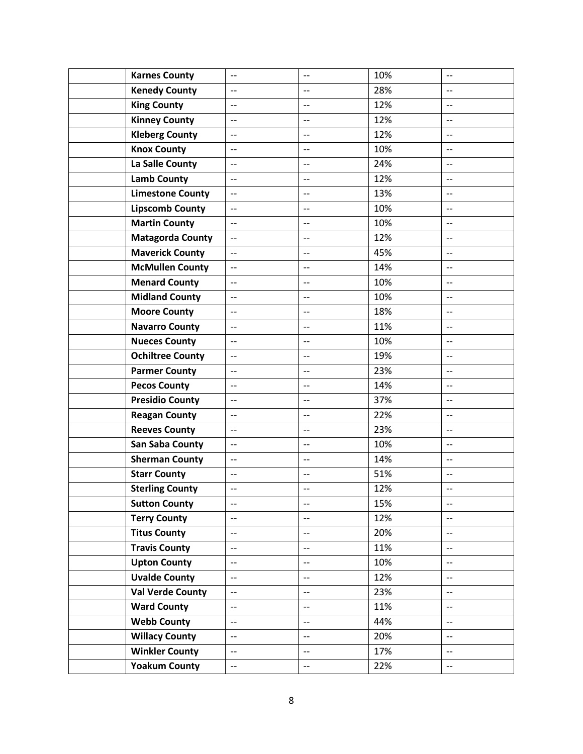| <b>Karnes County</b>    | $-$                      | $-$                      | 10% | $-$                      |
|-------------------------|--------------------------|--------------------------|-----|--------------------------|
| <b>Kenedy County</b>    | $-$                      |                          | 28% |                          |
| <b>King County</b>      | $-$                      | $\overline{\phantom{m}}$ | 12% | $-$                      |
| <b>Kinney County</b>    | $\overline{\phantom{a}}$ | $-$                      | 12% | $-$                      |
| <b>Kleberg County</b>   | $-$                      | $\overline{a}$           | 12% | $-$                      |
| <b>Knox County</b>      | $\overline{\phantom{m}}$ | $\qquad \qquad -$        | 10% | $-$                      |
| La Salle County         | $\overline{\phantom{a}}$ | $\overline{a}$           | 24% | $-$                      |
| <b>Lamb County</b>      | $\overline{\phantom{a}}$ | $-$                      | 12% | $-$                      |
| <b>Limestone County</b> | $-$                      | $-$                      | 13% | $-$                      |
| <b>Lipscomb County</b>  | $\overline{\phantom{a}}$ | $\qquad \qquad -$        | 10% | --                       |
| <b>Martin County</b>    | $\overline{\phantom{a}}$ | $-$                      | 10% | $-$                      |
| <b>Matagorda County</b> | $\overline{\phantom{a}}$ | $\overline{a}$           | 12% | $\overline{\phantom{a}}$ |
| <b>Maverick County</b>  | $-$                      | $-$                      | 45% | --                       |
| <b>McMullen County</b>  |                          |                          | 14% |                          |
| <b>Menard County</b>    | $-$                      | $-$                      | 10% | $\qquad \qquad -$        |
| <b>Midland County</b>   | $-$                      | $-$                      | 10% | --                       |
| <b>Moore County</b>     | $\overline{\phantom{a}}$ | $-$                      | 18% | $-$                      |
| <b>Navarro County</b>   | $\overline{\phantom{a}}$ | $\qquad \qquad -$        | 11% | $-$                      |
| <b>Nueces County</b>    | $\overline{\phantom{a}}$ | $-$                      | 10% | $-$                      |
| <b>Ochiltree County</b> | $\overline{\phantom{a}}$ | $-$                      | 19% | $-$                      |
| <b>Parmer County</b>    | $-$                      | $-$                      | 23% | $-$                      |
| <b>Pecos County</b>     | $\overline{\phantom{a}}$ | $-$                      | 14% | --                       |
| <b>Presidio County</b>  | $\overline{\phantom{a}}$ | $\overline{a}$           | 37% | $-$                      |
| <b>Reagan County</b>    | $\overline{\phantom{a}}$ | $\overline{a}$           | 22% | $-$                      |
| <b>Reeves County</b>    | $-$                      | $-$                      | 23% | --                       |
| <b>San Saba County</b>  | $\overline{\phantom{a}}$ | $-$                      | 10% | $-$                      |
| <b>Sherman County</b>   | $\overline{\phantom{m}}$ | $\overline{\phantom{m}}$ | 14% | $-$                      |
| <b>Starr County</b>     | $\overline{\phantom{m}}$ | $\overline{\phantom{m}}$ | 51% | $\overline{\phantom{a}}$ |
| <b>Sterling County</b>  | $\overline{\phantom{a}}$ | $-$                      | 12% | $-$                      |
| <b>Sutton County</b>    | $\overline{\phantom{a}}$ | $\overline{\phantom{a}}$ | 15% | $-$                      |
| <b>Terry County</b>     | $\overline{\phantom{a}}$ | $\overline{\phantom{a}}$ | 12% | $-$                      |
| <b>Titus County</b>     | $\overline{\phantom{m}}$ | $\overline{\phantom{m}}$ | 20% | $-$                      |
| <b>Travis County</b>    | $\overline{\phantom{m}}$ | $-$                      | 11% | $-$                      |
| <b>Upton County</b>     | $\overline{\phantom{m}}$ | $- -$                    | 10% | $-$                      |
| <b>Uvalde County</b>    | $\overline{\phantom{m}}$ | $\overline{\phantom{m}}$ | 12% | $-$                      |
| <b>Val Verde County</b> | $\overline{\phantom{m}}$ | $\overline{\phantom{a}}$ | 23% | $-$                      |
| <b>Ward County</b>      | $\overline{\phantom{m}}$ | $\overline{\phantom{m}}$ | 11% | $\overline{\phantom{a}}$ |
| <b>Webb County</b>      | $\overline{\phantom{0}}$ | $\overline{\phantom{0}}$ | 44% | $\overline{a}$           |
| <b>Willacy County</b>   | $\overline{\phantom{a}}$ | $\overline{\phantom{a}}$ | 20% | $-$                      |
| <b>Winkler County</b>   | $\overline{\phantom{m}}$ | $\overline{\phantom{m}}$ | 17% | $-$                      |
| <b>Yoakum County</b>    | $\overline{\phantom{a}}$ | $\overline{\phantom{m}}$ | 22% | $-$                      |